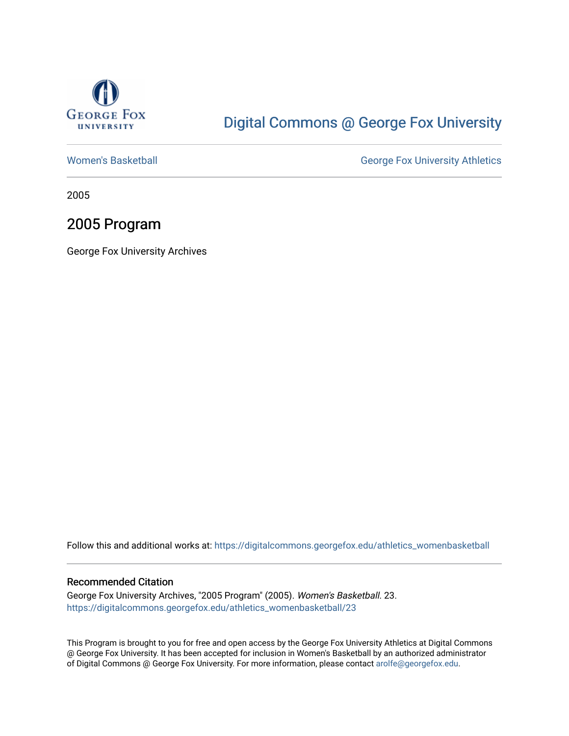

### [Digital Commons @ George Fox University](https://digitalcommons.georgefox.edu/)

[Women's Basketball](https://digitalcommons.georgefox.edu/athletics_womenbasketball) **George Fox University Athletics** 

2005

### 2005 Program

George Fox University Archives

Follow this and additional works at: [https://digitalcommons.georgefox.edu/athletics\\_womenbasketball](https://digitalcommons.georgefox.edu/athletics_womenbasketball?utm_source=digitalcommons.georgefox.edu%2Fathletics_womenbasketball%2F23&utm_medium=PDF&utm_campaign=PDFCoverPages) 

#### Recommended Citation

George Fox University Archives, "2005 Program" (2005). Women's Basketball. 23. [https://digitalcommons.georgefox.edu/athletics\\_womenbasketball/23](https://digitalcommons.georgefox.edu/athletics_womenbasketball/23?utm_source=digitalcommons.georgefox.edu%2Fathletics_womenbasketball%2F23&utm_medium=PDF&utm_campaign=PDFCoverPages)

This Program is brought to you for free and open access by the George Fox University Athletics at Digital Commons @ George Fox University. It has been accepted for inclusion in Women's Basketball by an authorized administrator of Digital Commons @ George Fox University. For more information, please contact [arolfe@georgefox.edu](mailto:arolfe@georgefox.edu).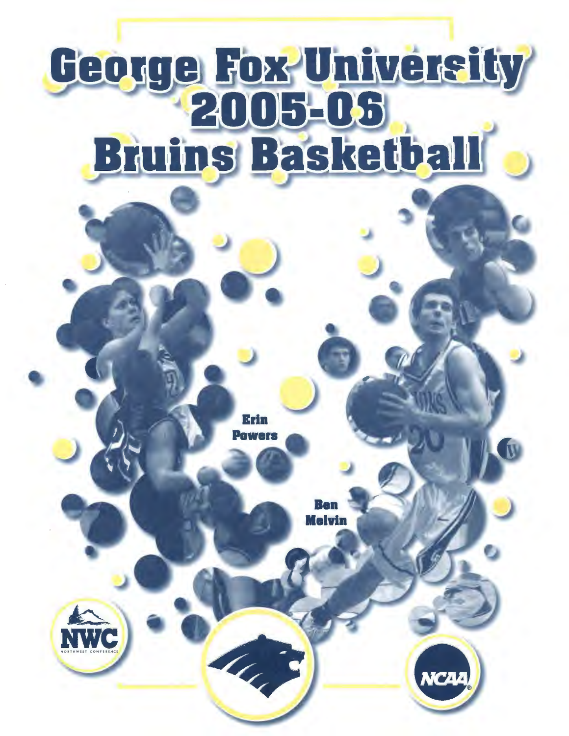# George Fox University **Bruins Basketball**

Erin

H. B



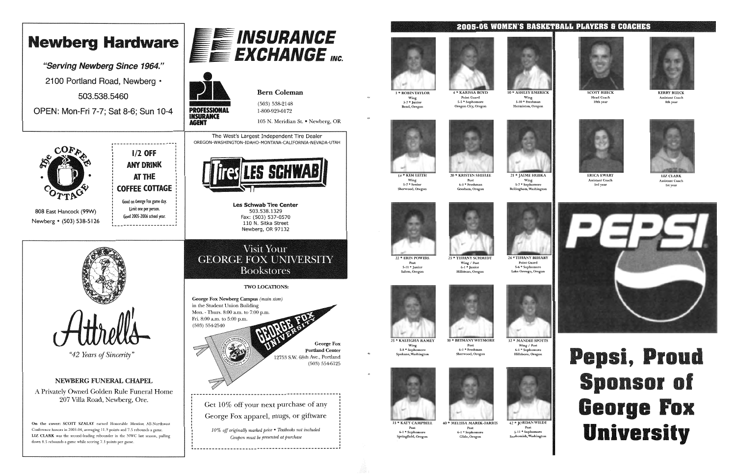**KIM LEIT** Wing 5-7\* Senior

Wing / Post





#### **2005-06 WOMEN'S BASKETBALL PLAYERS & COACHES**



ERICA EXISTANT Coach Assistant Coach Assistant Coach Assistant Coach and the Mathematic Coach Assistant Coach<br>Ist vear 3:rd year lst year









Post 5-11 \*Junior Salem, Oregon



Wing S-8 \* Sophomore Spokane, Washington



Post 6-1 \* Sophomore Springfield, Oregon







<sup>4</sup>\* KARISSA BOYD Point Guard 5-5 \* Sophomore Oregon City, Oregon 10 \*ASHLEY EMERICK Wing 5-10 \* Freshman Hermiston, Oregon



**1 \* JAIME HIIRK**  $_{\rm{Wing}}$ wing<br>5-7 \* Sophomore<br>Bellingham, Washington











SCOTI RUECK KERRY RUECK

Post 6-1 \*Freshman Sherwood, Oregon



40 \*MELISSA MAREK-FARRIS Post 6-1 \* Sophomore Glide, Oregon



6-l \* Sophomore Hillsboro, Oregon

Wing / Post



# i, Pro **Sponsor of George Fox University**

42 \*JORDAN WILDE Post 5-11 \*Sophomore Snohomish, Washington



Head Coach Assistant Coach lOth year 8th year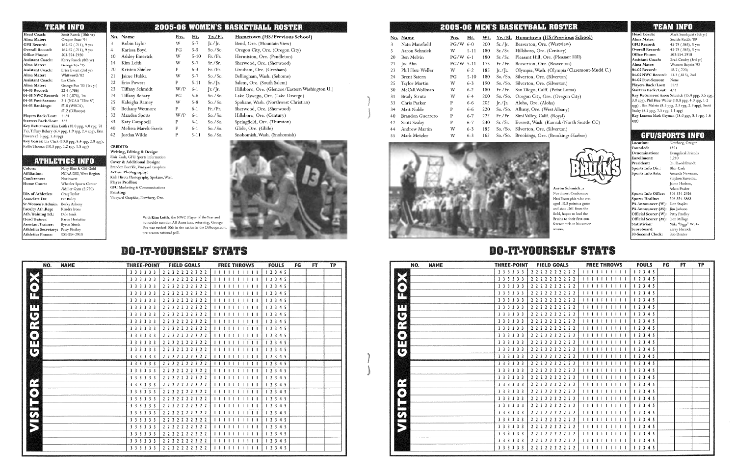#### **mEA.M INFO**

04-05 NWC Record: 14-2 (.875), 1st 04-05 Post-Season: 2-1 (NCAA "Elite 8")

Players Back/Lost: 11/4 Starters Back/Lost: 3/2

04-05 Rankings:

Powers  $(3.3 \text{ ppg}, 3.8 \text{ rp})$ 

503-554-2920 Kerry Rueck (8th yr) George Fox '95 Erica Ewart (3rd yr) Whitworth '02 Liz Clark George Fox 'OS (1st yr)  $22-6(0.786)$ 

| <u> 1888 1. 1. 1888 189</u>              |              |   |
|------------------------------------------|--------------|---|
| Scott Rueck (10th yr)                    | No. Name     | P |
| Oregon State '91<br>165-67 (.711), 9 yrs | Robin Taylor | v |
| 165-67 (.711), 9 yrs                     | Karissa Boyd |   |

Liz Clark (10.8 ppg, 8.4 rpg, 2.8 apg), Kellie Thomas (10.3 ppg, 2.2 rpg, 1.8 apg)

**AVELLARE LES TATED** 

Head Coach:<br>Alma Mater:

**GFU Record:** 

Overall Record: Office Phone: Assistant Coach: Alma Mater: Assistant Coach: Alma Mater Assistant Coach: Alma Mater: 04-05 Record:

> #10 (WBCA), #12 (D3hoops)

Northwest Wheeler Sports Center /Miller Gym (2,750) Craig Taylor Pat Bailey Kendra Irons Dale Isaak Karen Hostetter<br>Byron Shenk

Key Returnees: Kim Leith (18.0 ppg, 4.0 rpg, 78 3's), Tiffany Behary (6.4 ppg, 1.9 rpg, 2.4 apg), Erin

Athletics Secretary: Patty Findley Athletics Phone: 503-554-2910

Affiliation: Conference: Home Court: Dir. of Athletics: Associate DA:

Colors:

Faculty Ath.Rep: Ath. Training Ed.: Head Trainer:

Assistant Trainer:

NCAA DIII, West Region

Navy Blue & Old Gold

Sr. Women's Admin. Becky Ankeny

CREDITS: Writing, Editing & Design: Blair Cash, GFU Sports Information Cover & Additional Design: Brandon Buerkle, Vineyard Graphics Action Photography: Kirk Hjrota Photography, Spokane, Wash, Player Profiles: GFU Marketing & Communications Printing: Vineyard Graphics, Newherg, Ore.

> honorahle mention All-American, returning, Fox was ranked 10th in the nation in the D3ho pre-season national poll.

# DO-IT-YOURSELF STATS

| 3  | Robin Taylor         | w   | $5 - 7$  | $[r_{\cdot}/r_{\cdot}]$    | Bend, Ore. (Mountain View)                      |
|----|----------------------|-----|----------|----------------------------|-------------------------------------------------|
| 4  | Karissa Boyd         | PG  | $5 - 5$  | So. / So.                  | Oregon City, Ore. (Oregon City)                 |
| 10 | Ashley Emerick       | W   | $5-10$   | Fr./Fr.                    | Hermiston, Ore. (Pendleton)                     |
| 14 | Kim Leith            | W   | $5 - 7$  | Sr./Sr.                    | Sherwood, Ore. (Sherwood)                       |
| 20 | Kristen Shielee      | P   | $6 - 3$  | Fr./Fr.                    | Gresham, Ore. (Gresham)                         |
| 21 | Jaime Hubka          | W   | $5 - 7$  | So. / So.                  | Bellingham, Wash. (Sehome)                      |
| 22 | Erin Powers          | P   | $5 - 11$ | $Sr./$ [r.                 | Salem, Ore. (South Salem)                       |
| 23 | Tiffany Schmidt      | W/P | $6 - 1$  | $[r_{\cdot}/r_{\cdot}]$ r. | Hillsboro, Ore. (Glencoe/Eastern Washington U.) |
| 24 | Tiffany Behary       | РG  | $5 - 6$  | So. / So.                  | Lake Oswego, Ore. (Lake Oswego)                 |
| 25 | Kaleigha Ramey       | W   | $5 - 8$  | So. / So.                  | Spokane, Wash. (Northwest Christian)            |
| 30 | Bethany Wetmore      | P   | $6 - 1$  | Fr./Fr.                    | Sherwood, Ore. (Sherwood)                       |
| 32 | Mandee Spotts        | W/P | $6 - 1$  | So. / So.                  | Hillsboro, Ore. (Century)                       |
| 33 | Katy Campbell        | P   | $6 - 1$  | So. / So.                  | Springfield, Ore. (Thurston)                    |
| 40 | Melissa Marek-Farris | P   | $6 - 1$  | So. / So.                  | Glide, Ore. (Glide)                             |
| 42 | Jordan Wilde         | P   | 5-11     | So. / So.                  | Snohomish, Wash. (Snohomish)                    |

| NO.               | <b>NAME</b> | <b>THREE-POINT</b> | <b>FIELD GOALS</b>  | <b>FREE THROWS</b>      | <b>FOULS</b> | FG | FT | TP |
|-------------------|-------------|--------------------|---------------------|-------------------------|--------------|----|----|----|
|                   |             | 3 3 3 3 3 3        | 2 2 2 2 2 2 2 2 2 2 | 1111111111              | 12345        |    |    |    |
|                   |             | 3 3 3 3 3 3        | 2222222222          | 1111111111              | 12345        |    |    |    |
| $\bullet$         |             | 3 3 3 3 3 3        | 2222222222          | 1111111111              | 12345        |    |    |    |
| T                 |             | 3 3 3 3 3 3        | 2222222222          | 1111111111              | 12345        |    |    |    |
|                   |             | 3 3 3 3 3 3        | 2 2 2 2 2 2 2 2 2 2 | 1111111111              | 12345        |    |    |    |
| т                 |             | 3 3 3 3 3 3        | 2222222222          | 111111111111            | 12345        |    |    |    |
| $\mathbf{C}$      |             | 3 3 3 3 3 3        | 2222222222          | 1111111111              | 12345        |    |    |    |
|                   |             | 3 3 3 3 3 3        | 2 2 2 2 2 2 2 2 2 2 | 1111111111              | 12345        |    |    |    |
| bed<br>a⊿<br>greg |             | 3 3 3 3 3 3        | 2222222222          | 111111111111            | 12345        |    |    |    |
| $\bullet)$        |             | 3 3 3 3 3 3        | 2222222222          | 11111111<br>111         | 12345        |    |    |    |
| TI                |             | 3 3 3 3 3 3        | 2222222222          | 111111                  | 12345        |    |    |    |
| $\mathbb{C}$      |             | 3 3 3 3 3 3        | 2222222222          | 1111111111              | 12345        |    |    |    |
|                   |             | 3 3 3 3 3 3        | 2222222222          | 1111111                 | 12345        |    |    |    |
|                   |             | 3 3 3 3 3 3        | 2222222222          |                         | 12345        |    |    |    |
|                   |             | 3 3 3 3 3 3        | 2 2 2 2 2 2 2 2 2 2 | 1111111                 | 12345        |    |    |    |
|                   |             | 3 3 3 3 3 3        | 2222222222          | 1111111111              | 12345        |    |    |    |
| $\sim$            |             | 3 3 3 3 3 3        | 2222222222          |                         | 12345        |    |    |    |
| $\bullet$         |             | 3 3 3 3 3 3        | 2 2 2 2 2 2 2 2 2 2 |                         | 12345        |    |    |    |
|                   |             | 3 3 3 3 3 3        | 2222222222          | 111111111               | 12345        |    |    |    |
|                   |             | 3 3 3 3 3 3        | 2222222222          | 1111111<br>$\mathbf{1}$ | 12345        |    |    |    |
|                   |             | 3 3 3 3 3 3        | 2222222222          | 1111111<br>$\Box$       | 12345        |    |    |    |
|                   |             | 3 3 3 3 3 3        | 2222222222          | 1111111111              | 12345        |    |    |    |
| ERK               |             | 3 3 3 3 3 3        | 2222222222          | .                       | 12345        |    |    |    |
|                   |             | 3 3 3 3 3 3        | 2222222222          | 1 1 1 1 1 1 1           | 12345        |    |    |    |
|                   |             | 3 3 3 3 3 3        | 2222222222          | 1 1 1 1 1 1 1 1 1 1     | 12345        |    |    |    |
|                   |             | 3 3 3 3 3 3        | 2 2 2 2 2 2 2 2 2 2 | 1 1 1 1 1 1 1 1 1 1     | 12345        |    |    |    |

Mark Sundquist (6th yr) Seattle Pacific '89 45-79 (.363), 5 yrs

|              |          |     |                                                       | <b>2005-06 WOMEN'S BASKETBALL ROSTER</b> |
|--------------|----------|-----|-------------------------------------------------------|------------------------------------------|
| No. Name     | Pos. Ht. |     | - Yr./El.                                             | Hometown (HS/Previous School)            |
| Robin Tavlor |          | 5-7 | $\left[\frac{r}{r}\right]$ $\left[\frac{r}{r}\right]$ | Bend, Ore. (Mountain View)               |

Head Coach: Alma Mater: GFU Record: Overall Record: 45-79 (.363), 5 yrs Office Phone: 503-554-2918 Assistant Coach: Brad Crosby (3rd yr)<br>Alma Mater: Western Baptist '92 Alma Mater: Western Baptist '92 04-05 Record: 18-7 (.720) 04-05 NWC Record: 13-3 (.813), 2nd 04-05 Post-Season: None Players Back/Lost: 11/2 Starters Back/Lost: 4/1

| $0.7$ So.        | Snohomish, Wash. (Snohomish) |
|------------------|------------------------------|
|                  |                              |
|                  |                              |
|                  |                              |
|                  |                              |
|                  |                              |
| ır and<br>George |                              |
| oops.com         |                              |

With Kim Leith, the NWC Player of the Year

#### n (HS/Previous School) Ore. (Westview) Ore. (Century) Pleasant Hill, Ore. (Pleasant Hill) Ore. (Beaverton) Vash. (Olympia/Claremont-Mudd C.) Ore. (Silverton) Ore. (Silverton) Calif. (Point Loma) ty, Ore. (Oregon City)  $(Aloha)$ e. (West Albany) Calif. (Royal) esh. (Kamiak/North Seattle CC) Ore. (Silverton) gs, Ore. (Brookings-Harbor)



}

}

# **2005-0& MEN'S BA.SKEI'BA.til HOSmER**

|    | No. Name         | Pos. | Ht.      | Wt. | Yr./El.                 | <b>Hometow</b> |
|----|------------------|------|----------|-----|-------------------------|----------------|
| 3  | Nate Mansfield   | PG/W | $6-0$    | 200 | Sr. / [r.               | Beaverton,     |
| 5  | Aaron Schmick    | W    | $5 - 11$ | 180 | Sr./Sr.                 | Hillsboro, C   |
| 20 | Ben Melvin       | PG/W | $6 - 1$  | 180 | Sr./Sr.                 | Pleasant Hil   |
| 21 | Joe Ahn          | PG/W | $5 - 11$ | 175 | Fr./Fr.                 | Beaverton,     |
| 23 | Phil Heu-Weller  | W    | $6 - 2$  | 185 | $[r_{\cdot}/r_{\cdot}]$ | Olympia, W     |
| 24 | Brent Satern     | РG   | $5 - 10$ | 180 | So / So.                | Silverton, C   |
| 25 | Taylor Martin    | W    | $6 - 3$  | 190 | $So$ /So.               | Silverton, C   |
| 30 | McCall Wollman   | W    | $6 - 2$  | 180 | Fr./Fr.                 | San Diego,     |
| 31 | Brady Strutz     | W    | $6-4$    | 200 | So./So.                 | Oregon Cit     |
| 33 | Chris Parker     | P    | $6-6$    | 205 | $[r_{\cdot}/r_{\cdot}]$ | Aloha, Ore.    |
| 34 | Matt Noble       | P    | $6 - 6$  | 220 | So. / So.               | Albany, Ore    |
| 40 | Brandon Guerrero | P    | $6 - 7$  | 225 | Fr./Fr.                 | Simi Valley,   |
| 42 | Scott Szalay     | P    | $6 - 7$  | 230 | Sr./Sr.                 | Everett, Wa    |
| 44 | Andrew Martin    | W    | $6 - 3$  | 185 | So. / So.               | Silverton, C   |
| 55 | Mark Metzler     | W    | $6 - 3$  | 165 | So./So.                 | Brookings,     |



Aaron Schmick. a Northwest Conference First Team pick who averaged 15.8 points a game and shot .561 from the field, hopes to lead the Bruins to their first conference title in his senior season.

|                                      |             | <b>FIELD GOALS</b><br><b>THREE-POINT</b> | <b>FREE THROWS</b>                                                                                                                                                                                                                                                                                                                                                                                                                                                                            | <b>FOULS</b> | FG | FT | TP |
|--------------------------------------|-------------|------------------------------------------|-----------------------------------------------------------------------------------------------------------------------------------------------------------------------------------------------------------------------------------------------------------------------------------------------------------------------------------------------------------------------------------------------------------------------------------------------------------------------------------------------|--------------|----|----|----|
|                                      | 3 3 3 3 3 3 | 2 2 2 2 2 2 2 2 2 2                      | 111111111111                                                                                                                                                                                                                                                                                                                                                                                                                                                                                  | 12345        |    |    |    |
|                                      | 3 3 3 3 3 3 | 2222222222                               | 111111111111                                                                                                                                                                                                                                                                                                                                                                                                                                                                                  | 12345        |    |    |    |
| ◈                                    | 3 3 3 3 3 3 | 2 2 2 2 2 2 2 2 2 2                      | 1111111111                                                                                                                                                                                                                                                                                                                                                                                                                                                                                    | 12345        |    |    |    |
| H                                    | 3 3 3 3 3 3 | 2222222222                               | 1111111111                                                                                                                                                                                                                                                                                                                                                                                                                                                                                    | 12345        |    |    |    |
|                                      | 3 3 3 3 3 3 | 2222222222                               |                                                                                                                                                                                                                                                                                                                                                                                                                                                                                               | 12345        |    |    |    |
| Ш                                    | 3 3 3 3 3 3 | 2 2 2 2 2 2 2 2 2 2                      | $\begin{tabular}{c} \multicolumn{1}{c} {\textbf{1}} & \multicolumn{1}{c} {\textbf{1}} & \multicolumn{1}{c} {\textbf{1}} & \multicolumn{1}{c} {\textbf{1}} \\ \multicolumn{1}{c} {\textbf{1}} & \multicolumn{1}{c} {\textbf{1}} & \multicolumn{1}{c} {\textbf{1}} & \multicolumn{1}{c} {\textbf{1}} & \multicolumn{1}{c} {\textbf{1}} \\ \multicolumn{1}{c} {\textbf{1}} & \multicolumn{1}{c} {\textbf{1}} & \multicolumn{1}{c} {\textbf{1}} & \multicolumn{1}{c} {\textbf{1}} & \multicolumn$ | 12345        |    |    |    |
| $\left\lceil \mathbb{G}\right\rceil$ | 3 3 3 3 3 3 | 2222222222                               |                                                                                                                                                                                                                                                                                                                                                                                                                                                                                               | 12345        |    |    |    |
|                                      | 3 3 3 3 3 3 | 2222222222                               | 11111111111                                                                                                                                                                                                                                                                                                                                                                                                                                                                                   | 12345        |    |    |    |
|                                      | 3 3 3 3 3 3 | 2222222222                               | 11111111                                                                                                                                                                                                                                                                                                                                                                                                                                                                                      | 12345        |    |    |    |
| $\bullet)$                           | 3 3 3 3 3 3 | 2 2 2 2 2 2 2 2 2 2                      |                                                                                                                                                                                                                                                                                                                                                                                                                                                                                               | 12345        |    |    |    |
| Ш                                    | 3 3 3 3 3 3 | 2222222222                               | 1111111111                                                                                                                                                                                                                                                                                                                                                                                                                                                                                    | 12345        |    |    |    |
| $\mathbf{C})$                        | 3 3 3 3 3 3 | 2222222222                               | 11111111                                                                                                                                                                                                                                                                                                                                                                                                                                                                                      | 12345        |    |    |    |
|                                      | 3 3 3 3 3 3 | 2222222222                               | 111111111111                                                                                                                                                                                                                                                                                                                                                                                                                                                                                  | 12345        |    |    |    |
|                                      | 3 3 3 3 3 3 | 2222222222                               | $\begin{array}{c} \n 1 & 1 & 1 & 1 & 1 & 1 & 1\n \end{array}$                                                                                                                                                                                                                                                                                                                                                                                                                                 | 12345        |    |    |    |
|                                      | 3 3 3 3 3 3 | 2 2 2 2 2 2 2 2 2 2                      | 11111111111                                                                                                                                                                                                                                                                                                                                                                                                                                                                                   | 12345        |    |    |    |
|                                      | 3 3 3 3 3 3 | 2222222222                               | 1111111111                                                                                                                                                                                                                                                                                                                                                                                                                                                                                    | 12345        |    |    |    |
| $\sum_{n=1}^{\infty}$                | 3 3 3 3 3 3 | 2222222222                               | 1111111111                                                                                                                                                                                                                                                                                                                                                                                                                                                                                    | 12345        |    |    |    |
|                                      | 3 3 3 3 3 3 | 2222222222                               | 1111111111                                                                                                                                                                                                                                                                                                                                                                                                                                                                                    | 12345        |    |    |    |
|                                      | 3 3 3 3 3 3 | 2 2 2 2 2 2 2 2 2 2                      | 111111111111                                                                                                                                                                                                                                                                                                                                                                                                                                                                                  | 12345        |    |    |    |
|                                      | 3 3 3 3 3 3 | 2222222222                               | 1111111111                                                                                                                                                                                                                                                                                                                                                                                                                                                                                    | 12345        |    |    |    |
| $\sigma$                             | 3 3 3 3 3 3 | 2222222222                               | 1111111111                                                                                                                                                                                                                                                                                                                                                                                                                                                                                    | 12345        |    |    |    |
|                                      | 3 3 3 3 3 3 | 2222222222                               | 11111111<br>$\blacksquare$                                                                                                                                                                                                                                                                                                                                                                                                                                                                    | 12345        |    |    |    |
|                                      | 3 3 3 3 3 3 | 2222222222                               | 11111                                                                                                                                                                                                                                                                                                                                                                                                                                                                                         | 12345        |    |    |    |
|                                      | 3 3 3 3 3 3 | 2222222222                               | 111111111111                                                                                                                                                                                                                                                                                                                                                                                                                                                                                  | 12345        |    |    |    |
|                                      | 3 3 3 3 3 3 | 2 2 2 2 2 2 2 2 2 2                      |                                                                                                                                                                                                                                                                                                                                                                                                                                                                                               | 12345        |    |    |    |
|                                      | 3 3 3 3 3 3 | 2222222222                               | 1111111<br>$\pm$ 1 $\pm$ 1 $\pm$                                                                                                                                                                                                                                                                                                                                                                                                                                                              | 12345        |    |    |    |

## DO-IT-YOURSELF STATS

#### **THANG INET**

Key Returnees: Aaron Schmick (15.8 ppg, 3.5 rpg, 3.0 apg), Phil Heu-Weller (10.8 ppg, 4.0 rpg, 1-2 apg), Ben Melvin (8.5 ppg, 2.3 rpg, 2.9 apg), Scott Szalay (8.2 ppg, 7.5 rpg, 1.1 apg) Key Losses: Mark Gayman (18.0 ppg, 8.3 rpg, 1.6 apg)

#### GEUSPORES INFO

Location: Founded: Denomination: Enrollment: President: Sports Info Dir.: Sports Info Asts:

Sports Info Office: 503-554-2926 Sports Hotline: PA Announcer (W): Don Staples PA Announcer (M): Jim Jackson Official Scorer (W): Patty Findley Official Scorer (M): Don Millage Statistician: Scoreboard: 30-Second Clock: Bob Dexter

Newberg, Oregon 1891 Evangelical Friends 3,210 Dr. David Brandt Blair Cash Amanda Newman, Stephen Saavedra, Jaime Hudson, Adam Peakcr 503-554-3868 Mike "Biggs" Wirta Larry Herrick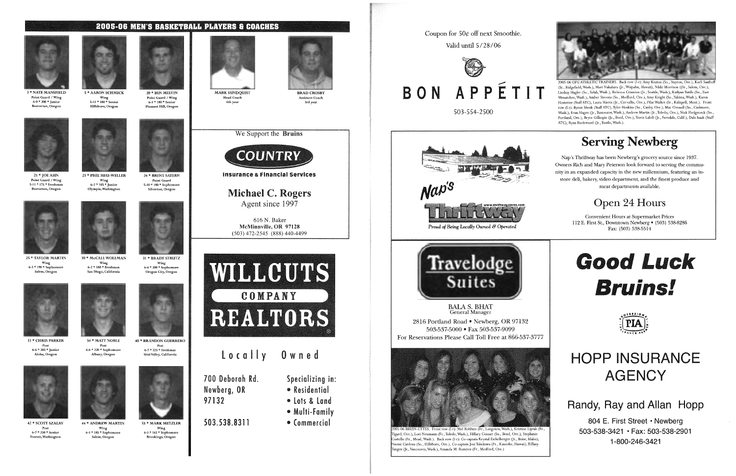#### **2005-06 MEN'S BASKETBALL PLAYERS & COACHES**



**3 \* NATE MANSFIELD** Point Guard / Wing  $6 - 0 * 200 *$  Junior Beaverton, Oregon

<sup>21</sup>\* JOEAHN Point Guard / Wing 5-11 \* 175 \* Freshman Beaverton, Oregon



42 \* SCOTT SZALAY Post 6-7 \* 230 \* Senior Everett, Washingto

25 \*TAYLOR MARTIN Wing 6-3 \* 190 \*Sophomore Salem, Oregon



5 \* AARON SCHMICK Wing 5-11 \* 180 \* Senior Hillsboro, Oregon



<sup>33</sup>\* CHRIS PARKER Post 6-6 \* 205 \*Junior Aloha, Oregon



31 \* BRADY STRUTZ ·wing 6-4 \* 200 \* Sophomore Oregon City, Oregon





 $6-7$  \* 225 \* Freshman Simi Valley, California

23 \*PHIL HEU-WELLER Wing 6-2 \* 185 \*Junior Olympia, Washington







**MARK SUNDQUIST** Head Coach 6th year

**BRAD CROSBY** Assistant Coach 3rd year



30 \* McCALL WOLLMAN Wing 6-2 \* 180 \*Freshman San Diego, California













Salem, Oregon







55 \* MARK METZLER



40 \* BRANDON GUERRERO









Wing 6-3 \* 165 \*Sophomore Brookings, Oregon





Insurance & Financial services

Michael C. Rogers Agent since 1997

616 N. Baker McMinnville, OR 97128 (503) 472-2545 (888) 440-4499



700 Deborah Rd. Newberg, OR 97132

locally 0 w ned

503.538.8311

Specializing in:

- Residential
- lots & land
- Multi-Family
- Commercial



Valid until  $5/28/06$ 



# BON APPÉTIT

503-554-2500





503-537-5000 • Fax 503-537-9099

(Jr., Vancouver, Wash.), Amanda M. Ramirez (Fr., Medford, Ore.)

2005-06 GFU ATHLETIC TRAINERS. Back row (1-r), Amy Keaton (So. , Stayton, Ore.), Karli Saathoff (Sr., Ridgefield, Wash.), Mari Nakahara Qr., Waipahu, Hawaii), Nikki Morrison ((Sr., Salem, Ore.), Lindsay Hagler (So., Selah, Wash.), Rebecca Crinnion (Jr., Seattle, Wash.), Katlynn Tuttle (So., East Wenatchee, Wash.), Amber Stevens (So., Medford, Ore.), Amy Knight (So., Yakima, Wash.), Karen Hostetter (Staff ATC), Laura Harris (Jr., Corvallis, Ore.), Pilar Walker (Sr., Kalispell, Mont.). Front row (1-r)' Byron Shenk (Staff ATC), Tyler Hoskins (So., Canby, Ore.), Mac Ovenell (So., Cashmere, Wash.), Evan Hagen (Jr., Tumwater, Wash.), Andrew Martin (Jr., Toledo, Ore.), Nick Hedgecock (So., Portland, Ore.), Bryce Gillespie (Jr., Bend, Ore.), Travis Laloli (Jr., Ferndale, Calif.), Dale Isaak (Staff ATC), Ryan Rockwood (Jr., Toutle, Wash.).



# Serving Newberg

Nap's Thriftway has been Newberg's grocery source since 1937. Owners Rich and Mary Peterson look forward to serving the community in an expanded capacity in the new millennium, featuring an instore deli, bakery, video department, and the finest produce and meat departments available.

# Open 24 Hours

Convenient Hours at Supermarket Prices 112 E. First St., Downtown Newberg • (503) 538-8286 Fax: (503) 538-5514